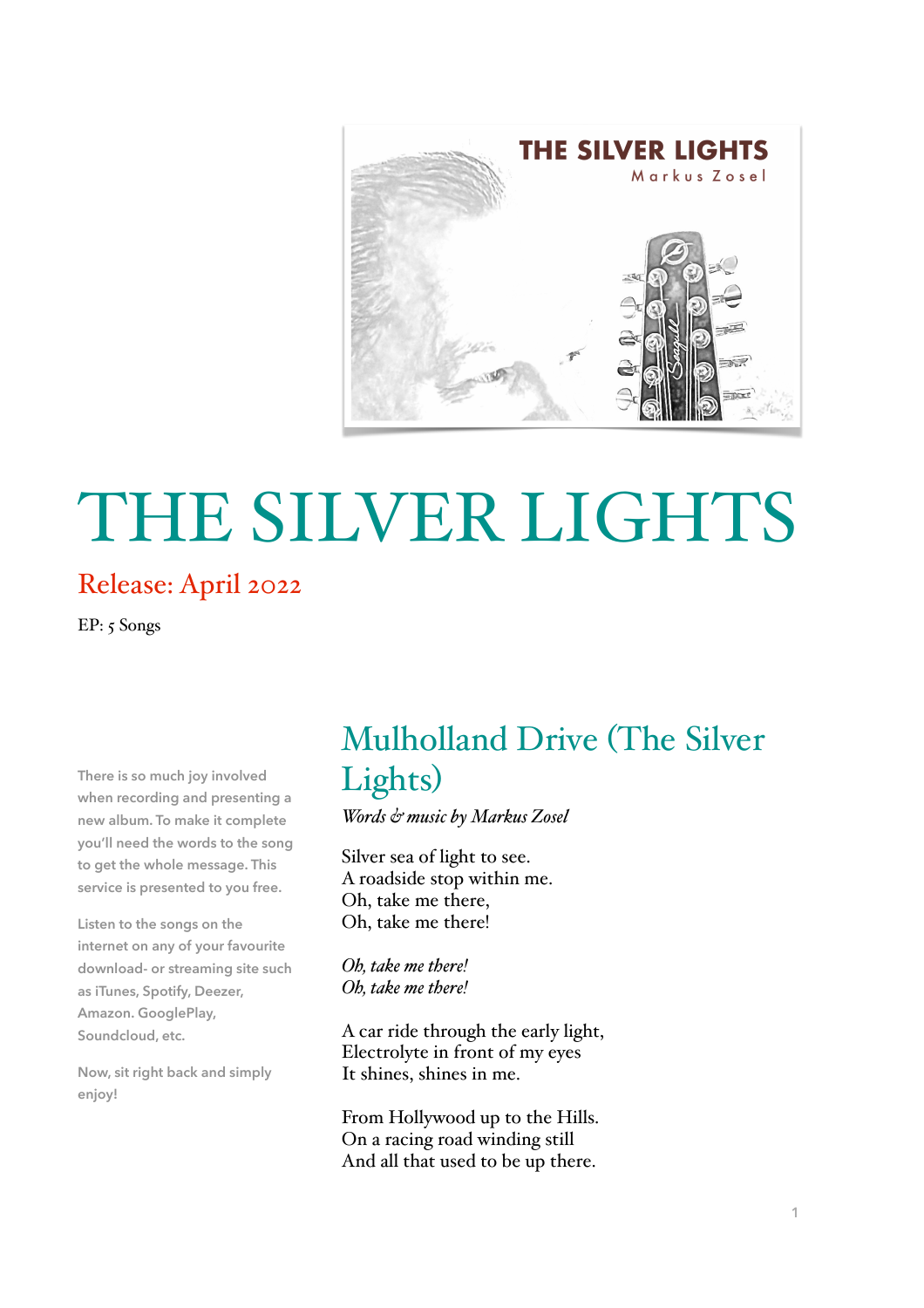

# THE SILVER LIGHTS

#### Release: April 2022

EP: 5 Songs

**There is so much joy involved when recording and presenting a new album. To make it complete you'll need the words to the song to get the whole message. This service is presented to you free.** 

**Listen to the songs on the internet on any of your favourite download- or streaming site such as iTunes, Spotify, Deezer, Amazon. GooglePlay, Soundcloud, etc.**

**Now, sit right back and simply enjoy!** 

## Mulholland Drive (The Silver Lights)

*Words & music by Markus Zosel* 

Silver sea of light to see. A roadside stop within me. Oh, take me there, Oh, take me there!

*Oh, take me there! Oh, take me there!*

A car ride through the early light, Electrolyte in front of my eyes It shines, shines in me.

From Hollywood up to the Hills. On a racing road winding still And all that used to be up there.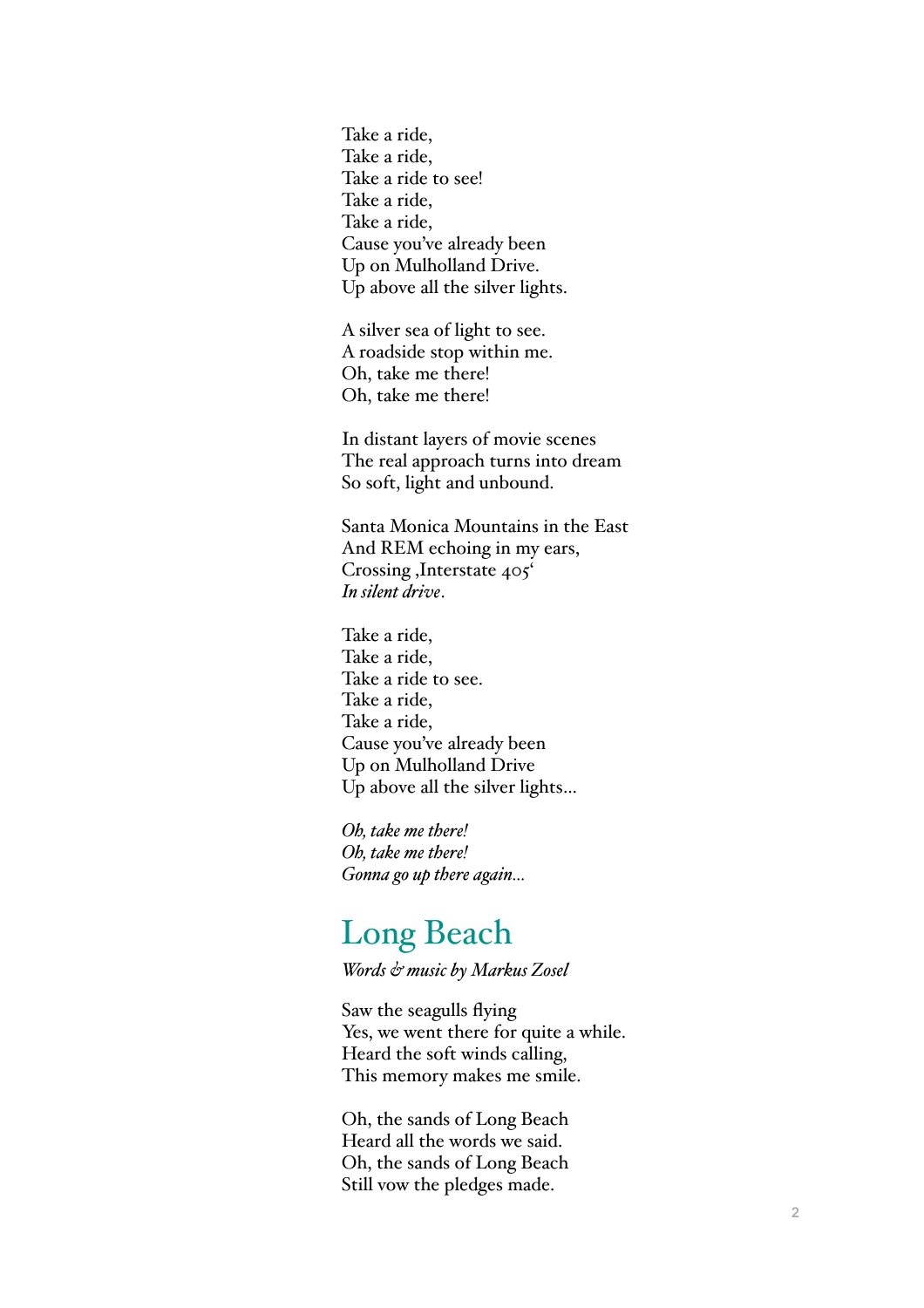Take a ride, Take a ride, Take a ride to see! Take a ride, Take a ride, Cause you've already been Up on Mulholland Drive. Up above all the silver lights.

A silver sea of light to see. A roadside stop within me. Oh, take me there! Oh, take me there!

In distant layers of movie scenes The real approach turns into dream So soft, light and unbound.

Santa Monica Mountains in the East And REM echoing in my ears, Crossing , Interstate 405<sup>°</sup> *In silent drive* .

Take a ride, Take a ride, Take a ride to see. Take a ride, Take a ride, Cause you've already been Up on Mulholland Drive Up above all the silver lights…

*Oh, take me there! Oh, take me there! Gonna go up there again…*

### Long Beach

*Words & music by Markus Zosel*

Saw the seagulls flying Yes, we went there for quite a while. Heard the soft winds calling, This memory makes me smile.

Oh, the sands of Long Beach Heard all the words we said. Oh, the sands of Long Beach Still vow the pledges made.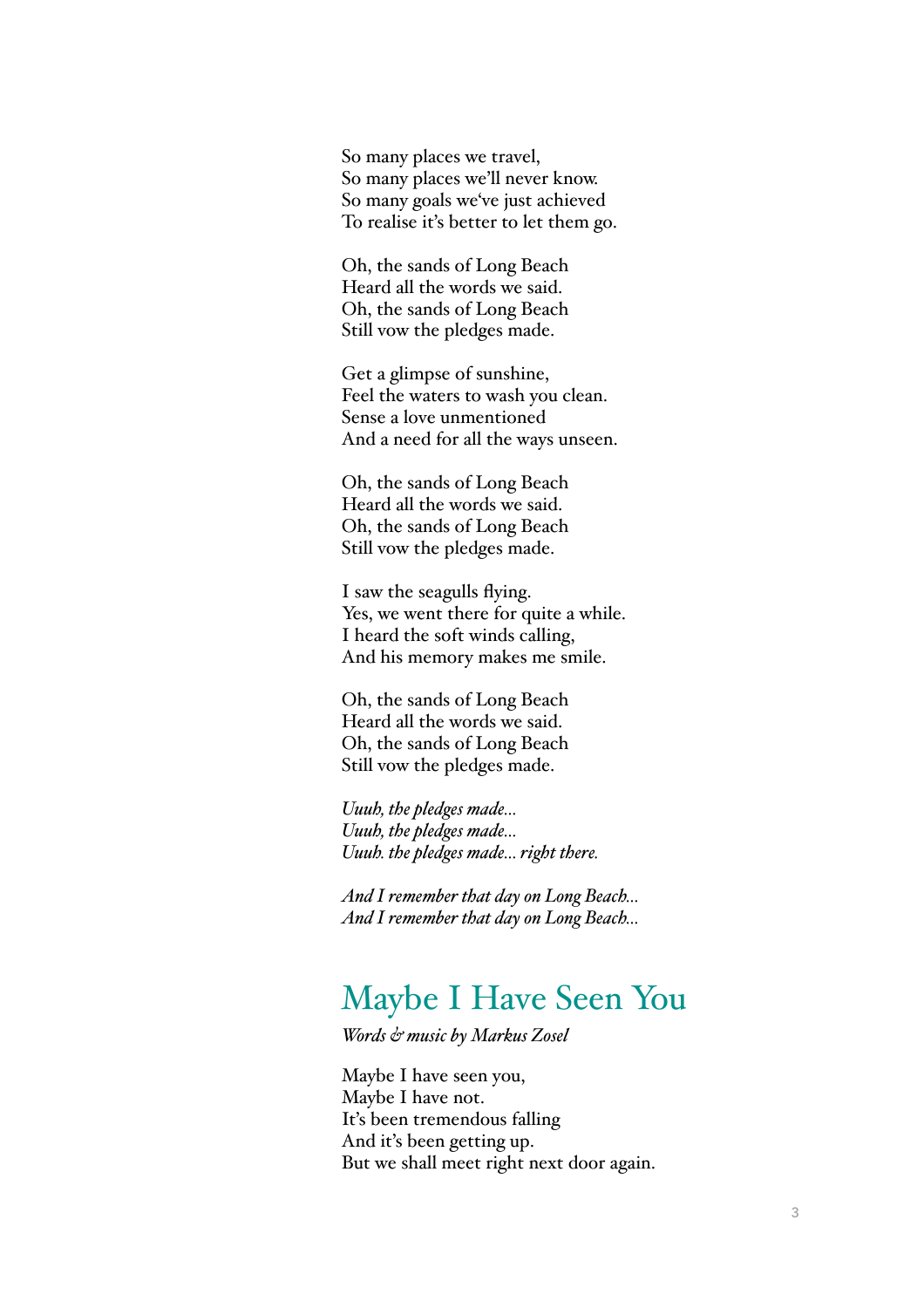So many places we travel, So many places we'll never know. So many goals we've just achieved To realise it's better to let them go.

Oh, the sands of Long Beach Heard all the words we said. Oh, the sands of Long Beach Still vow the pledges made.

Get a glimpse of sunshine, Feel the waters to wash you clean. Sense a love unmentioned And a need for all the ways unseen.

Oh, the sands of Long Beach Heard all the words we said. Oh, the sands of Long Beach Still vow the pledges made.

I saw the seagulls flying. Yes, we went there for quite a while. I heard the soft winds calling, And his memory makes me smile.

Oh, the sands of Long Beach Heard all the words we said. Oh, the sands of Long Beach Still vow the pledges made.

*Uuuh, the pledges made… Uuuh, the pledges made… Uuuh. the pledges made… right there.*

*And I remember that day on Long Beach… And I remember that day on Long Beach…*

### Maybe I Have Seen You

*Words & music by Markus Zosel* 

Maybe I have seen you, Maybe I have not. It's been tremendous falling And it's been getting up. But we shall meet right next door again.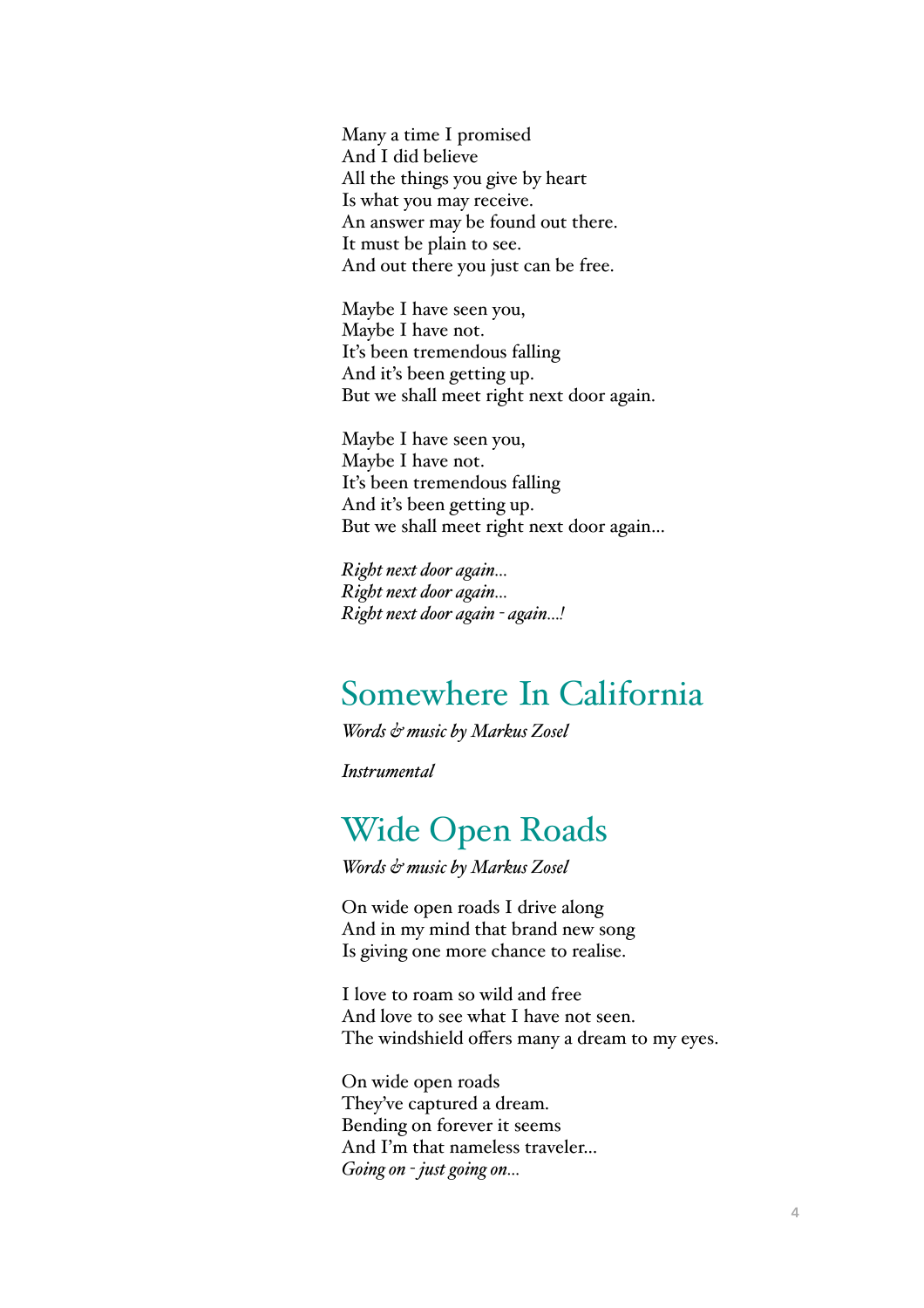Many a time I promised And I did believe All the things you give by heart Is what you may receive. An answer may be found out there. It must be plain to see. And out there you just can be free.

Maybe I have seen you, Maybe I have not. It's been tremendous falling And it's been getting up. But we shall meet right next door again.

Maybe I have seen you, Maybe I have not. It's been tremendous falling And it's been getting up. But we shall meet right next door again…

*Right next door again… Right next door again… Right next door again - again…!*

### Somewhere In California

*Words & music by Markus Zosel*

*Instrumental*

### Wide Open Roads

*Words & music by Markus Zosel*

On wide open roads I drive along And in my mind that brand new song Is giving one more chance to realise.

I love to roam so wild and free And love to see what I have not seen. The windshield offers many a dream to my eyes.

On wide open roads They've captured a dream. Bending on forever it seems And I'm that nameless traveler… *Going on - just going on…*